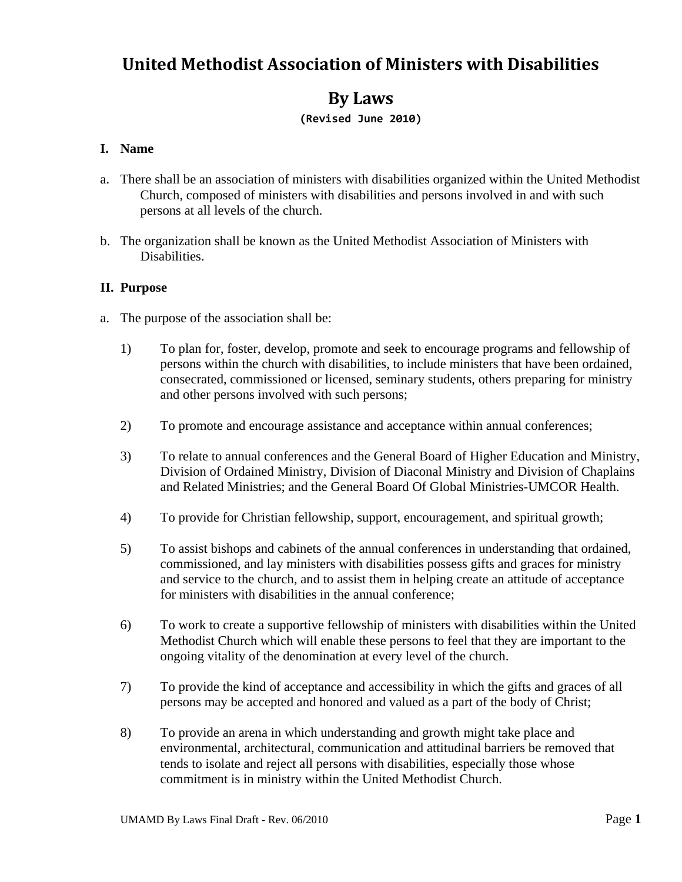# **United Methodist Association of Ministers with Disabilities**

## **By Laws**

## **(Revised June 2010)**

## **I. Name**

- a. There shall be an association of ministers with disabilities organized within the United Methodist Church, composed of ministers with disabilities and persons involved in and with such persons at all levels of the church.
- b. The organization shall be known as the United Methodist Association of Ministers with Disabilities.

#### **II. Purpose**

- a. The purpose of the association shall be:
	- 1) To plan for, foster, develop, promote and seek to encourage programs and fellowship of persons within the church with disabilities, to include ministers that have been ordained, consecrated, commissioned or licensed, seminary students, others preparing for ministry and other persons involved with such persons;
	- 2) To promote and encourage assistance and acceptance within annual conferences;
	- 3) To relate to annual conferences and the General Board of Higher Education and Ministry, Division of Ordained Ministry, Division of Diaconal Ministry and Division of Chaplains and Related Ministries; and the General Board Of Global Ministries-UMCOR Health.
	- 4) To provide for Christian fellowship, support, encouragement, and spiritual growth;
	- 5) To assist bishops and cabinets of the annual conferences in understanding that ordained, commissioned, and lay ministers with disabilities possess gifts and graces for ministry and service to the church, and to assist them in helping create an attitude of acceptance for ministers with disabilities in the annual conference;
	- 6) To work to create a supportive fellowship of ministers with disabilities within the United Methodist Church which will enable these persons to feel that they are important to the ongoing vitality of the denomination at every level of the church.
	- 7) To provide the kind of acceptance and accessibility in which the gifts and graces of all persons may be accepted and honored and valued as a part of the body of Christ;
	- 8) To provide an arena in which understanding and growth might take place and environmental, architectural, communication and attitudinal barriers be removed that tends to isolate and reject all persons with disabilities, especially those whose commitment is in ministry within the United Methodist Church.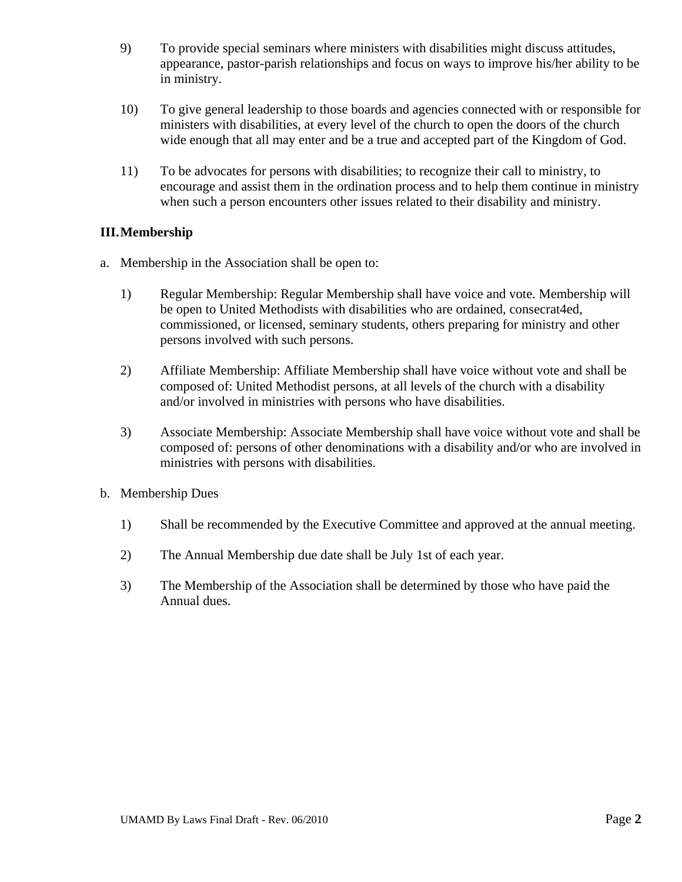- 9) To provide special seminars where ministers with disabilities might discuss attitudes, appearance, pastor-parish relationships and focus on ways to improve his/her ability to be in ministry.
- 10) To give general leadership to those boards and agencies connected with or responsible for ministers with disabilities, at every level of the church to open the doors of the church wide enough that all may enter and be a true and accepted part of the Kingdom of God.
- 11) To be advocates for persons with disabilities; to recognize their call to ministry, to encourage and assist them in the ordination process and to help them continue in ministry when such a person encounters other issues related to their disability and ministry.

## **III.Membership**

- a. Membership in the Association shall be open to:
	- 1) Regular Membership: Regular Membership shall have voice and vote. Membership will be open to United Methodists with disabilities who are ordained, consecrat4ed, commissioned, or licensed, seminary students, others preparing for ministry and other persons involved with such persons.
	- 2) Affiliate Membership: Affiliate Membership shall have voice without vote and shall be composed of: United Methodist persons, at all levels of the church with a disability and/or involved in ministries with persons who have disabilities.
	- 3) Associate Membership: Associate Membership shall have voice without vote and shall be composed of: persons of other denominations with a disability and/or who are involved in ministries with persons with disabilities.
- b. Membership Dues
	- 1) Shall be recommended by the Executive Committee and approved at the annual meeting.
	- 2) The Annual Membership due date shall be July 1st of each year.
	- 3) The Membership of the Association shall be determined by those who have paid the Annual dues.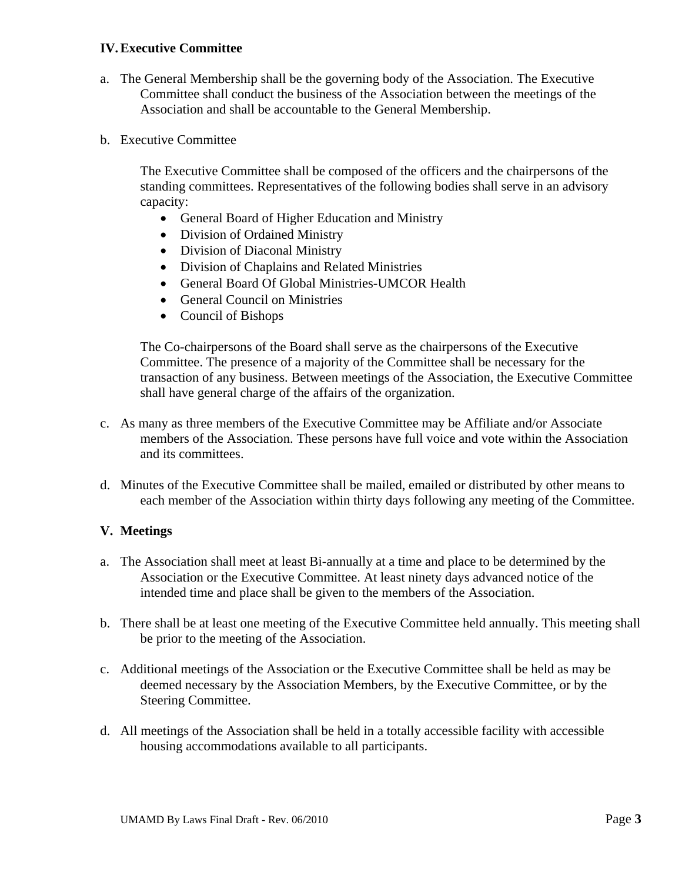#### **IV.Executive Committee**

- a. The General Membership shall be the governing body of the Association. The Executive Committee shall conduct the business of the Association between the meetings of the Association and shall be accountable to the General Membership.
- b. Executive Committee

The Executive Committee shall be composed of the officers and the chairpersons of the standing committees. Representatives of the following bodies shall serve in an advisory capacity:

- General Board of Higher Education and Ministry
- Division of Ordained Ministry
- Division of Diaconal Ministry
- Division of Chaplains and Related Ministries
- General Board Of Global Ministries-UMCOR Health
- General Council on Ministries
- Council of Bishops

The Co-chairpersons of the Board shall serve as the chairpersons of the Executive Committee. The presence of a majority of the Committee shall be necessary for the transaction of any business. Between meetings of the Association, the Executive Committee shall have general charge of the affairs of the organization.

- c. As many as three members of the Executive Committee may be Affiliate and/or Associate members of the Association. These persons have full voice and vote within the Association and its committees.
- d. Minutes of the Executive Committee shall be mailed, emailed or distributed by other means to each member of the Association within thirty days following any meeting of the Committee.

#### **V. Meetings**

- a. The Association shall meet at least Bi-annually at a time and place to be determined by the Association or the Executive Committee. At least ninety days advanced notice of the intended time and place shall be given to the members of the Association.
- b. There shall be at least one meeting of the Executive Committee held annually. This meeting shall be prior to the meeting of the Association.
- c. Additional meetings of the Association or the Executive Committee shall be held as may be deemed necessary by the Association Members, by the Executive Committee, or by the Steering Committee.
- d. All meetings of the Association shall be held in a totally accessible facility with accessible housing accommodations available to all participants.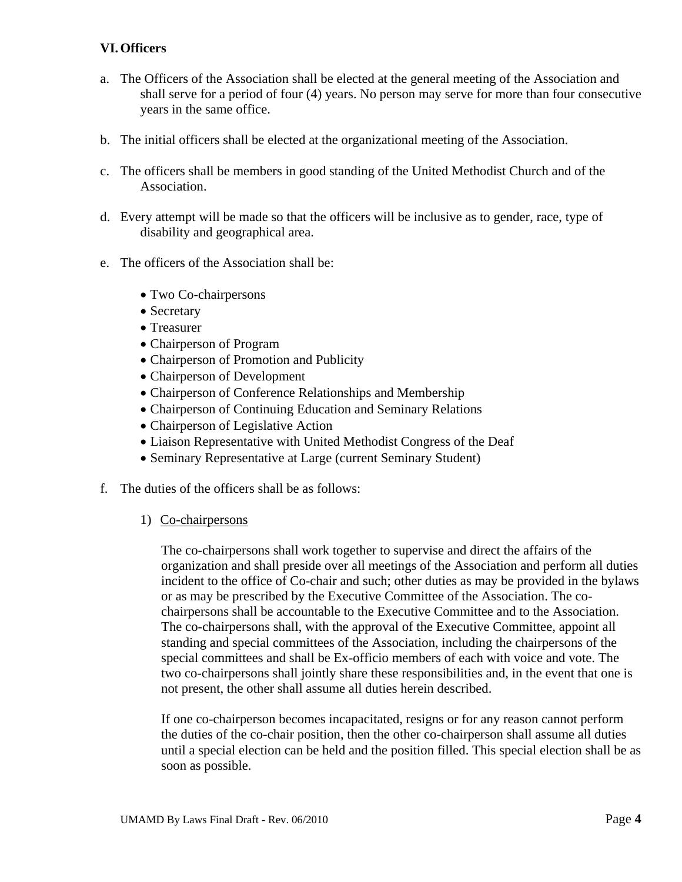## **VI.Officers**

- a. The Officers of the Association shall be elected at the general meeting of the Association and shall serve for a period of four (4) years. No person may serve for more than four consecutive years in the same office.
- b. The initial officers shall be elected at the organizational meeting of the Association.
- c. The officers shall be members in good standing of the United Methodist Church and of the Association.
- d. Every attempt will be made so that the officers will be inclusive as to gender, race, type of disability and geographical area.
- e. The officers of the Association shall be:
	- Two Co-chairpersons
	- Secretary
	- Treasurer
	- Chairperson of Program
	- Chairperson of Promotion and Publicity
	- Chairperson of Development
	- Chairperson of Conference Relationships and Membership
	- Chairperson of Continuing Education and Seminary Relations
	- Chairperson of Legislative Action
	- Liaison Representative with United Methodist Congress of the Deaf
	- Seminary Representative at Large (current Seminary Student)
- f. The duties of the officers shall be as follows:
	- 1) Co-chairpersons

The co-chairpersons shall work together to supervise and direct the affairs of the organization and shall preside over all meetings of the Association and perform all duties incident to the office of Co-chair and such; other duties as may be provided in the bylaws or as may be prescribed by the Executive Committee of the Association. The cochairpersons shall be accountable to the Executive Committee and to the Association. The co-chairpersons shall, with the approval of the Executive Committee, appoint all standing and special committees of the Association, including the chairpersons of the special committees and shall be Ex-officio members of each with voice and vote. The two co-chairpersons shall jointly share these responsibilities and, in the event that one is not present, the other shall assume all duties herein described.

If one co-chairperson becomes incapacitated, resigns or for any reason cannot perform the duties of the co-chair position, then the other co-chairperson shall assume all duties until a special election can be held and the position filled. This special election shall be as soon as possible.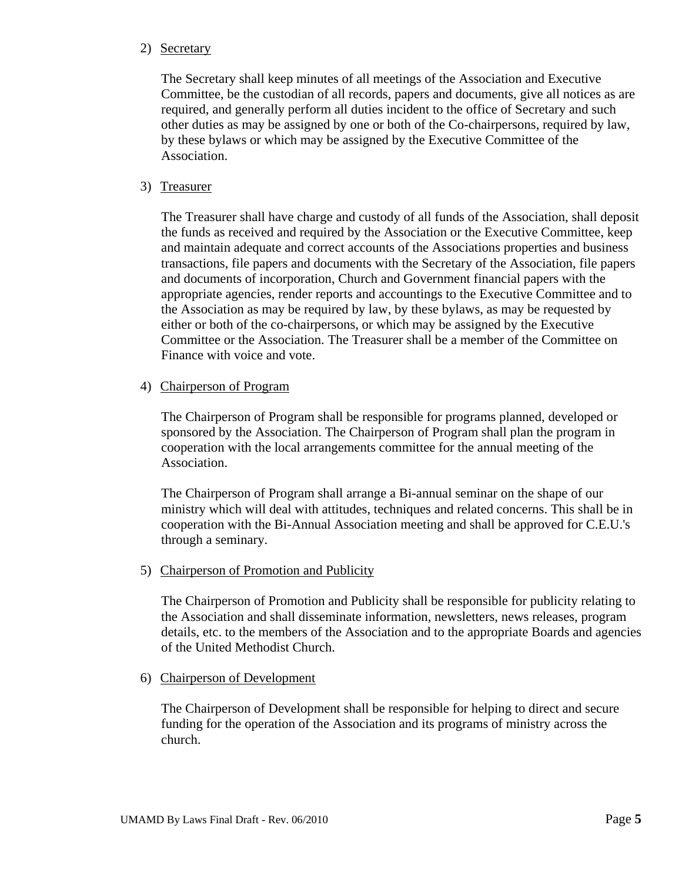#### 2) Secretary

The Secretary shall keep minutes of all meetings of the Association and Executive Committee, be the custodian of all records, papers and documents, give all notices as are required, and generally perform all duties incident to the office of Secretary and such other duties as may be assigned by one or both of the Co-chairpersons, required by law, by these bylaws or which may be assigned by the Executive Committee of the Association.

## 3) Treasurer

The Treasurer shall have charge and custody of all funds of the Association, shall deposit the funds as received and required by the Association or the Executive Committee, keep and maintain adequate and correct accounts of the Associations properties and business transactions, file papers and documents with the Secretary of the Association, file papers and documents of incorporation, Church and Government financial papers with the appropriate agencies, render reports and accountings to the Executive Committee and to the Association as may be required by law, by these bylaws, as may be requested by either or both of the co-chairpersons, or which may be assigned by the Executive Committee or the Association. The Treasurer shall be a member of the Committee on Finance with voice and vote.

#### 4) Chairperson of Program

The Chairperson of Program shall be responsible for programs planned, developed or sponsored by the Association. The Chairperson of Program shall plan the program in cooperation with the local arrangements committee for the annual meeting of the Association.

The Chairperson of Program shall arrange a Bi-annual seminar on the shape of our ministry which will deal with attitudes, techniques and related concerns. This shall be in cooperation with the Bi-Annual Association meeting and shall be approved for C.E.U.'s through a seminary.

#### 5) Chairperson of Promotion and Publicity

The Chairperson of Promotion and Publicity shall be responsible for publicity relating to the Association and shall disseminate information, newsletters, news releases, program details, etc. to the members of the Association and to the appropriate Boards and agencies of the United Methodist Church.

#### 6) Chairperson of Development

The Chairperson of Development shall be responsible for helping to direct and secure funding for the operation of the Association and its programs of ministry across the church.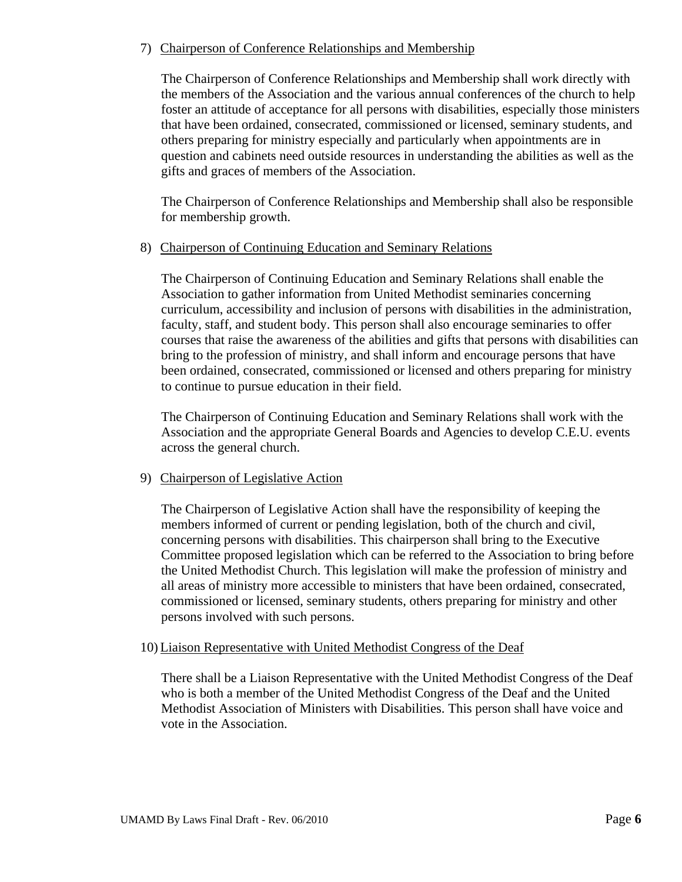## 7) Chairperson of Conference Relationships and Membership

The Chairperson of Conference Relationships and Membership shall work directly with the members of the Association and the various annual conferences of the church to help foster an attitude of acceptance for all persons with disabilities, especially those ministers that have been ordained, consecrated, commissioned or licensed, seminary students, and others preparing for ministry especially and particularly when appointments are in question and cabinets need outside resources in understanding the abilities as well as the gifts and graces of members of the Association.

The Chairperson of Conference Relationships and Membership shall also be responsible for membership growth.

#### 8) Chairperson of Continuing Education and Seminary Relations

The Chairperson of Continuing Education and Seminary Relations shall enable the Association to gather information from United Methodist seminaries concerning curriculum, accessibility and inclusion of persons with disabilities in the administration, faculty, staff, and student body. This person shall also encourage seminaries to offer courses that raise the awareness of the abilities and gifts that persons with disabilities can bring to the profession of ministry, and shall inform and encourage persons that have been ordained, consecrated, commissioned or licensed and others preparing for ministry to continue to pursue education in their field.

The Chairperson of Continuing Education and Seminary Relations shall work with the Association and the appropriate General Boards and Agencies to develop C.E.U. events across the general church.

## 9) Chairperson of Legislative Action

The Chairperson of Legislative Action shall have the responsibility of keeping the members informed of current or pending legislation, both of the church and civil, concerning persons with disabilities. This chairperson shall bring to the Executive Committee proposed legislation which can be referred to the Association to bring before the United Methodist Church. This legislation will make the profession of ministry and all areas of ministry more accessible to ministers that have been ordained, consecrated, commissioned or licensed, seminary students, others preparing for ministry and other persons involved with such persons.

#### 10) Liaison Representative with United Methodist Congress of the Deaf

There shall be a Liaison Representative with the United Methodist Congress of the Deaf who is both a member of the United Methodist Congress of the Deaf and the United Methodist Association of Ministers with Disabilities. This person shall have voice and vote in the Association.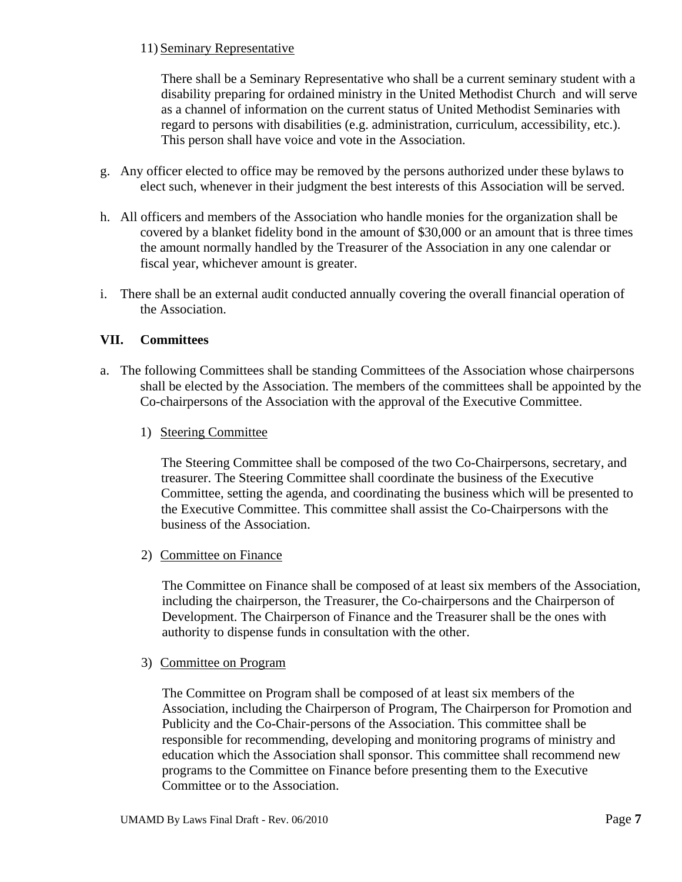## 11) Seminary Representative

There shall be a Seminary Representative who shall be a current seminary student with a disability preparing for ordained ministry in the United Methodist Church and will serve as a channel of information on the current status of United Methodist Seminaries with regard to persons with disabilities (e.g. administration, curriculum, accessibility, etc.). This person shall have voice and vote in the Association.

- g. Any officer elected to office may be removed by the persons authorized under these bylaws to elect such, whenever in their judgment the best interests of this Association will be served.
- h. All officers and members of the Association who handle monies for the organization shall be covered by a blanket fidelity bond in the amount of \$30,000 or an amount that is three times the amount normally handled by the Treasurer of the Association in any one calendar or fiscal year, whichever amount is greater.
- i. There shall be an external audit conducted annually covering the overall financial operation of the Association.

## **VII. Committees**

- a. The following Committees shall be standing Committees of the Association whose chairpersons shall be elected by the Association. The members of the committees shall be appointed by the Co-chairpersons of the Association with the approval of the Executive Committee.
	- 1) Steering Committee

The Steering Committee shall be composed of the two Co-Chairpersons, secretary, and treasurer. The Steering Committee shall coordinate the business of the Executive Committee, setting the agenda, and coordinating the business which will be presented to the Executive Committee. This committee shall assist the Co-Chairpersons with the business of the Association.

2) Committee on Finance

The Committee on Finance shall be composed of at least six members of the Association, including the chairperson, the Treasurer, the Co-chairpersons and the Chairperson of Development. The Chairperson of Finance and the Treasurer shall be the ones with authority to dispense funds in consultation with the other.

3) Committee on Program

The Committee on Program shall be composed of at least six members of the Association, including the Chairperson of Program, The Chairperson for Promotion and Publicity and the Co-Chair-persons of the Association. This committee shall be responsible for recommending, developing and monitoring programs of ministry and education which the Association shall sponsor. This committee shall recommend new programs to the Committee on Finance before presenting them to the Executive Committee or to the Association.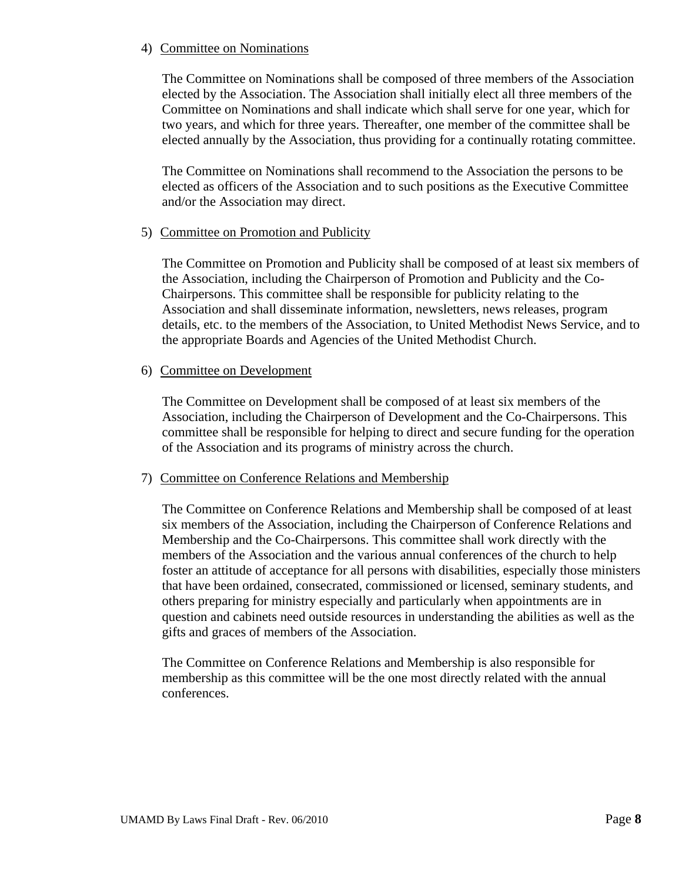#### 4) Committee on Nominations

The Committee on Nominations shall be composed of three members of the Association elected by the Association. The Association shall initially elect all three members of the Committee on Nominations and shall indicate which shall serve for one year, which for two years, and which for three years. Thereafter, one member of the committee shall be elected annually by the Association, thus providing for a continually rotating committee.

The Committee on Nominations shall recommend to the Association the persons to be elected as officers of the Association and to such positions as the Executive Committee and/or the Association may direct.

#### 5) Committee on Promotion and Publicity

The Committee on Promotion and Publicity shall be composed of at least six members of the Association, including the Chairperson of Promotion and Publicity and the Co-Chairpersons. This committee shall be responsible for publicity relating to the Association and shall disseminate information, newsletters, news releases, program details, etc. to the members of the Association, to United Methodist News Service, and to the appropriate Boards and Agencies of the United Methodist Church.

#### 6) Committee on Development

The Committee on Development shall be composed of at least six members of the Association, including the Chairperson of Development and the Co-Chairpersons. This committee shall be responsible for helping to direct and secure funding for the operation of the Association and its programs of ministry across the church.

#### 7) Committee on Conference Relations and Membership

The Committee on Conference Relations and Membership shall be composed of at least six members of the Association, including the Chairperson of Conference Relations and Membership and the Co-Chairpersons. This committee shall work directly with the members of the Association and the various annual conferences of the church to help foster an attitude of acceptance for all persons with disabilities, especially those ministers that have been ordained, consecrated, commissioned or licensed, seminary students, and others preparing for ministry especially and particularly when appointments are in question and cabinets need outside resources in understanding the abilities as well as the gifts and graces of members of the Association.

The Committee on Conference Relations and Membership is also responsible for membership as this committee will be the one most directly related with the annual conferences.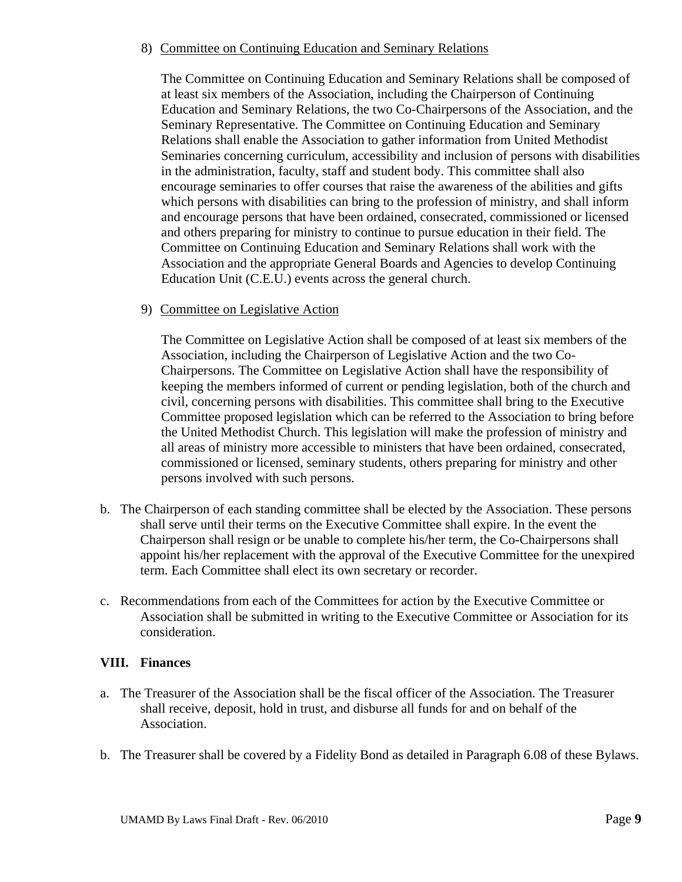#### 8) Committee on Continuing Education and Seminary Relations

The Committee on Continuing Education and Seminary Relations shall be composed of at least six members of the Association, including the Chairperson of Continuing Education and Seminary Relations, the two Co-Chairpersons of the Association, and the Seminary Representative. The Committee on Continuing Education and Seminary Relations shall enable the Association to gather information from United Methodist Seminaries concerning curriculum, accessibility and inclusion of persons with disabilities in the administration, faculty, staff and student body. This committee shall also encourage seminaries to offer courses that raise the awareness of the abilities and gifts which persons with disabilities can bring to the profession of ministry, and shall inform and encourage persons that have been ordained, consecrated, commissioned or licensed and others preparing for ministry to continue to pursue education in their field. The Committee on Continuing Education and Seminary Relations shall work with the Association and the appropriate General Boards and Agencies to develop Continuing Education Unit (C.E.U.) events across the general church.

#### 9) Committee on Legislative Action

The Committee on Legislative Action shall be composed of at least six members of the Association, including the Chairperson of Legislative Action and the two Co-Chairpersons. The Committee on Legislative Action shall have the responsibility of keeping the members informed of current or pending legislation, both of the church and civil, concerning persons with disabilities. This committee shall bring to the Executive Committee proposed legislation which can be referred to the Association to bring before the United Methodist Church. This legislation will make the profession of ministry and all areas of ministry more accessible to ministers that have been ordained, consecrated, commissioned or licensed, seminary students, others preparing for ministry and other persons involved with such persons.

- b. The Chairperson of each standing committee shall be elected by the Association. These persons shall serve until their terms on the Executive Committee shall expire. In the event the Chairperson shall resign or be unable to complete his/her term, the Co-Chairpersons shall appoint his/her replacement with the approval of the Executive Committee for the unexpired term. Each Committee shall elect its own secretary or recorder.
- c. Recommendations from each of the Committees for action by the Executive Committee or Association shall be submitted in writing to the Executive Committee or Association for its consideration.

## **VIII. Finances**

- a. The Treasurer of the Association shall be the fiscal officer of the Association. The Treasurer shall receive, deposit, hold in trust, and disburse all funds for and on behalf of the Association.
- b. The Treasurer shall be covered by a Fidelity Bond as detailed in Paragraph 6.08 of these Bylaws.